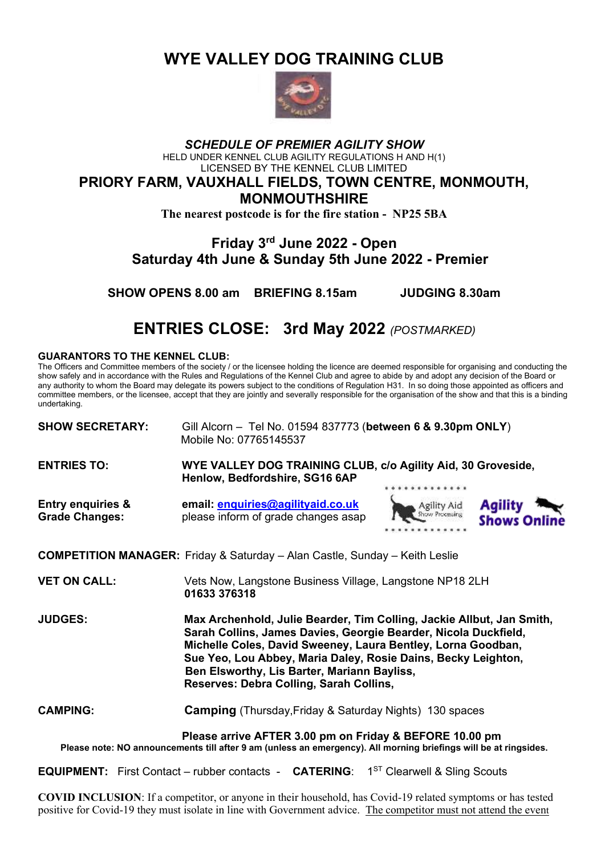**WYE VALLEY DOG TRAINING CLUB**



#### *SCHEDULE OF PREMIER AGILITY SHOW* HELD UNDER KENNEL CLUB AGILITY REGULATIONS H AND H(1) LICENSED BY THE KENNEL CLUB LIMITED **PRIORY FARM, VAUXHALL FIELDS, TOWN CENTRE, MONMOUTH, MONMOUTHSHIRE**

**The nearest postcode is for the fire station - NP25 5BA**

## **Friday 3rd June 2022 - Open Saturday 4th June & Sunday 5th June 2022 - Premier**

**SHOW OPENS 8.00 am BRIEFING 8.15am JUDGING 8.30am**

# **ENTRIES CLOSE: 3rd May 2022** *(POSTMARKED)*

#### **GUARANTORS TO THE KENNEL CLUB:**

The Officers and Committee members of the society / or the licensee holding the licence are deemed responsible for organising and conducting the show safely and in accordance with the Rules and Regulations of the Kennel Club and agree to abide by and adopt any decision of the Board or any authority to whom the Board may delegate its powers subject to the conditions of Regulation H31. In so doing those appointed as officers and committee members, or the licensee, accept that they are jointly and severally responsible for the organisation of the show and that this is a binding undertaking.

**SHOW SECRETARY:** Gill Alcorn – Tel No. 01594 837773 (**between 6 & 9.30pm ONLY**) Mobile No: 07765145537

**ENTRIES TO: WYE VALLEY DOG TRAINING CLUB, c/o Agility Aid, 30 Groveside, Henlow, Bedfordshire, SG16 6AP**

**Entry enquiries & email: [enquiries@agilityaid.co.uk](mailto:enquiries@agilityaid.co.uk) Grade Changes:** please inform of grade changes asap





**COMPETITION MANAGER:** Friday & Saturday – Alan Castle, Sunday – Keith Leslie

**VET ON CALL:** Vets Now, Langstone Business Village, Langstone NP18 2LH **01633 376318**

**JUDGES: Max Archenhold, Julie Bearder, Tim Colling, Jackie Allbut, Jan Smith, Sarah Collins, James Davies, Georgie Bearder, Nicola Duckfield, Michelle Coles, David Sweeney, Laura Bentley, Lorna Goodban, Sue Yeo, Lou Abbey, Maria Daley, Rosie Dains, Becky Leighton, Ben Elsworthy, Lis Barter, Mariann Bayliss, Reserves: Debra Colling, Sarah Collins,**

**CAMPING: Camping** (Thursday,Friday & Saturday Nights) 130 spaces

**Please arrive AFTER 3.00 pm on Friday & BEFORE 10.00 pm Please note: NO announcements till after 9 am (unless an emergency). All morning briefings will be at ringsides.**

**EQUIPMENT:** First Contact – rubber contacts - **CATERING**: 1<sup>ST</sup> Clearwell & Sling Scouts

**COVID INCLUSION**: If a competitor, or anyone in their household, has Covid-19 related symptoms or has tested positive for Covid-19 they must isolate in line with Government advice. The competitor must not attend the event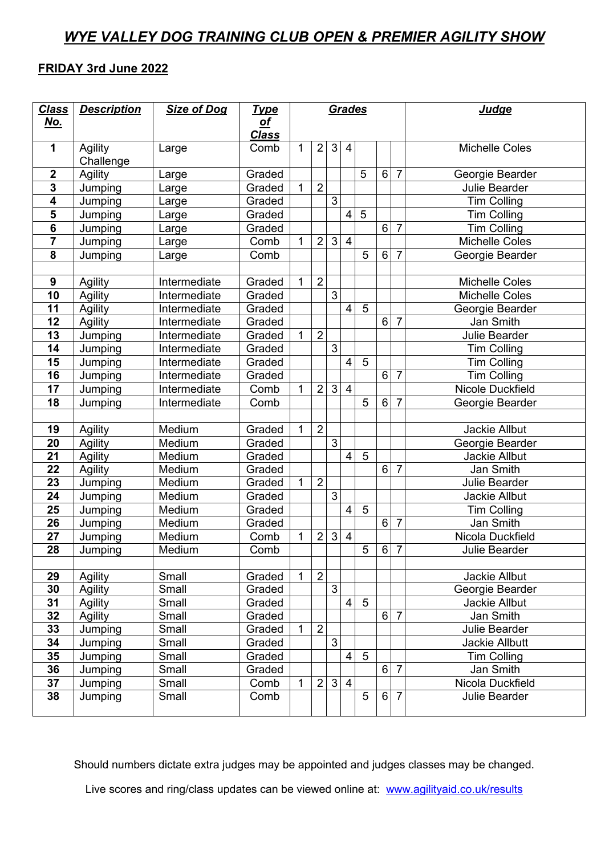## *WYE VALLEY DOG TRAINING CLUB OPEN & PREMIER AGILITY SHOW*

### **FRIDAY 3rd June 2022**

| <b>Class</b>            | <b>Description</b> | <b>Size of Dog</b> | <b>Type</b>               |             |                |                | Grades                  |                |         |                | <b>Judge</b>            |
|-------------------------|--------------------|--------------------|---------------------------|-------------|----------------|----------------|-------------------------|----------------|---------|----------------|-------------------------|
| <u>No.</u>              |                    |                    | <u>of</u><br><b>Class</b> |             |                |                |                         |                |         |                |                         |
| 1                       | Agility            | Large              | Comb                      | $\mathbf 1$ | $\overline{2}$ | $\mathbf{3}$   | 4                       |                |         |                | <b>Michelle Coles</b>   |
|                         | Challenge          |                    |                           |             |                |                |                         |                |         |                |                         |
| $\boldsymbol{2}$        | Agility            | Large              | Graded                    |             |                |                |                         | 5              | 6       | $\overline{7}$ | Georgie Bearder         |
| 3                       | Jumping            | Large              | Graded                    | 1           | $\overline{2}$ |                |                         |                |         |                | <b>Julie Bearder</b>    |
| $\overline{\mathbf{4}}$ | Jumping            | Large              | Graded                    |             |                | $\overline{3}$ |                         |                |         |                | <b>Tim Colling</b>      |
| 5                       | Jumping            | Large              | Graded                    |             |                |                | $\overline{\mathbf{4}}$ | 5              |         |                | <b>Tim Colling</b>      |
| 6                       | Jumping            | Large              | Graded                    |             |                |                |                         |                | 6       | $\overline{7}$ | <b>Tim Colling</b>      |
| 7                       | Jumping            | Large              | Comb                      | 1           | $\overline{2}$ | 3              | $\overline{4}$          |                |         |                | <b>Michelle Coles</b>   |
| 8                       | Jumping            | Large              | Comb                      |             |                |                |                         | 5              | 6       | $\overline{7}$ | Georgie Bearder         |
|                         |                    |                    |                           |             |                |                |                         |                |         |                |                         |
| 9                       | Agility            | Intermediate       | Graded                    | 1           | $\overline{2}$ |                |                         |                |         |                | <b>Michelle Coles</b>   |
| 10                      | Agility            | Intermediate       | Graded                    |             |                | $\overline{3}$ |                         |                |         |                | <b>Michelle Coles</b>   |
| 11                      | Agility            | Intermediate       | Graded                    |             |                |                | $\overline{\mathbf{4}}$ | 5              |         |                | Georgie Bearder         |
| 12                      | Agility            | Intermediate       | Graded                    |             |                |                |                         |                | 6       | $\overline{7}$ | Jan Smith               |
| 13                      | Jumping            | Intermediate       | Graded                    | 1           | $\overline{2}$ |                |                         |                |         |                | Julie Bearder           |
| 14                      | Jumping            | Intermediate       | Graded                    |             |                | 3              |                         |                |         |                | <b>Tim Colling</b>      |
| 15                      | Jumping            | Intermediate       | Graded                    |             |                |                | $\overline{\mathbf{4}}$ | 5              |         |                | <b>Tim Colling</b>      |
| 16                      | Jumping            | Intermediate       | Graded                    |             |                |                |                         |                | 6       | $\overline{7}$ | <b>Tim Colling</b>      |
| 17                      | Jumping            | Intermediate       | Comb                      | 1           | $\overline{2}$ | 3 <sup>1</sup> | $\overline{4}$          |                |         |                | <b>Nicole Duckfield</b> |
| 18                      | Jumping            | Intermediate       | Comb                      |             |                |                |                         | 5              | $\,6\,$ | $\overline{7}$ | Georgie Bearder         |
|                         |                    |                    |                           |             |                |                |                         |                |         |                |                         |
| 19                      | Agility            | Medium             | Graded                    | 1           | $\overline{2}$ |                |                         |                |         |                | <b>Jackie Allbut</b>    |
| 20                      | Agility            | Medium             | Graded                    |             |                | 3              |                         |                |         |                | Georgie Bearder         |
| 21                      | Agility            | Medium             | Graded                    |             |                |                | $\overline{4}$          | 5              |         |                | Jackie Allbut           |
| 22                      | Agility            | Medium             | Graded                    |             |                |                |                         |                | 6       | $\overline{7}$ | Jan Smith               |
| 23                      | Jumping            | Medium             | Graded                    | 1           | $\overline{2}$ |                |                         |                |         |                | Julie Bearder           |
| 24                      | Jumping            | Medium             | Graded                    |             |                | $\overline{3}$ |                         |                |         |                | Jackie Allbut           |
| 25                      | Jumping            | Medium             | Graded                    |             |                |                | $\overline{\mathbf{4}}$ | 5              |         |                | <b>Tim Colling</b>      |
| 26                      | Jumping            | Medium             | Graded                    |             |                |                |                         |                | 6       | $\overline{7}$ | Jan Smith               |
| 27                      | Jumping            | Medium             | Comb                      | 1           | $\overline{2}$ | $\mathfrak{S}$ | $\overline{4}$          |                |         |                | Nicola Duckfield        |
| 28                      | Jumping            | Medium             | Comb                      |             |                |                |                         | $\overline{5}$ | $\,6\,$ | $\overline{7}$ | Julie Bearder           |
|                         |                    |                    |                           |             |                |                |                         |                |         |                |                         |
| 29                      | Agility            | Small              | Graded                    |             | $\overline{2}$ |                |                         |                |         |                | Jackie Allbut           |
| 30                      | Agility            | Small              | Graded                    |             |                | $\mathbf{3}$   |                         |                |         |                | Georgie Bearder         |
| 31                      | Agility            | Small              | Graded                    |             |                |                | $\overline{4}$          | $\overline{5}$ |         |                | Jackie Allbut           |
| 32                      | Agility            | Small              | Graded                    |             |                |                |                         |                | $\,6\,$ | $\overline{7}$ | Jan Smith               |
| 33                      | Jumping            | Small              | Graded                    | 1           | $\overline{2}$ |                |                         |                |         |                | Julie Bearder           |
| 34                      | Jumping            | Small              | Graded                    |             |                | $\mathfrak{S}$ |                         |                |         |                | Jackie Allbutt          |
| 35                      | Jumping            | Small              | Graded                    |             |                |                | $\overline{4}$          | 5              |         |                | <b>Tim Colling</b>      |
| 36                      | Jumping            | Small              | Graded                    |             |                |                |                         |                | $6 \,$  | $\overline{7}$ | Jan Smith               |
| 37                      | Jumping            | Small              | Comb                      | 1           | $\overline{2}$ | 3 <sup>1</sup> | $\overline{4}$          |                |         |                | Nicola Duckfield        |
| 38                      | Jumping            | Small              | Comb                      |             |                |                |                         | 5              | $\,6$   | $\overline{7}$ | Julie Bearder           |
|                         |                    |                    |                           |             |                |                |                         |                |         |                |                         |

Should numbers dictate extra judges may be appointed and judges classes may be changed.

Live scores and ring/class updates can be viewed online at: [www.agilityaid.co.uk/results](http://www.agilityaid.co.uk/results)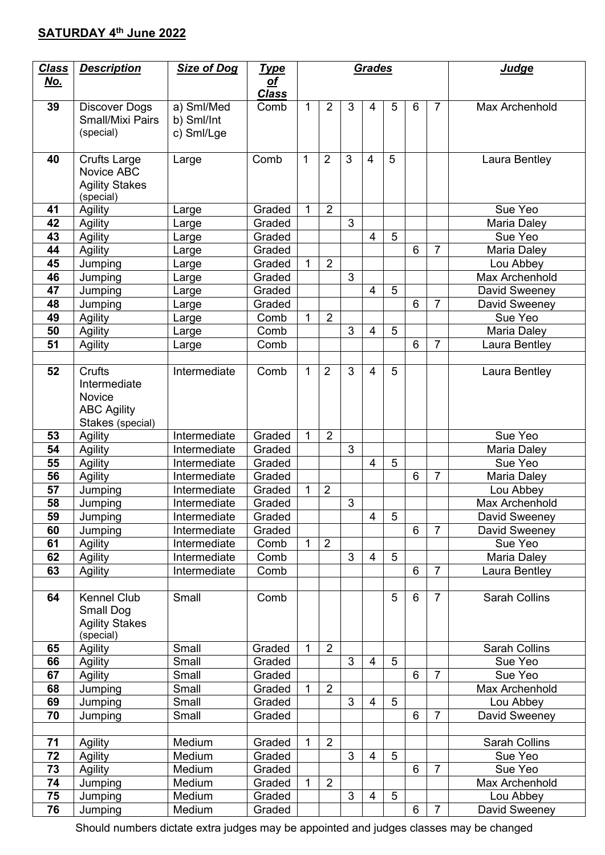## **SATURDAY 4 th June 2022**

| <b>Class</b> | <b>Description</b>      | <b>Size of Dog</b>           | <u>Type</u>               | Grades |                | <b>Judge</b> |                |                |                 |                |                          |
|--------------|-------------------------|------------------------------|---------------------------|--------|----------------|--------------|----------------|----------------|-----------------|----------------|--------------------------|
| <u>No.</u>   |                         |                              | <u>of</u><br><b>Class</b> |        |                |              |                |                |                 |                |                          |
| 39           | Discover Dogs           | a) Sml/Med                   | Comb                      | 1      | $\overline{2}$ | 3            | $\overline{4}$ | 5              | $6\phantom{1}6$ | $\overline{7}$ | Max Archenhold           |
|              | <b>Small/Mixi Pairs</b> | b) Sml/Int                   |                           |        |                |              |                |                |                 |                |                          |
|              | (special)               | c) Sml/Lge                   |                           |        |                |              |                |                |                 |                |                          |
| 40           | <b>Crufts Large</b>     | Large                        | Comb                      | 1      | $\overline{2}$ | 3            | $\overline{4}$ | 5              |                 |                | Laura Bentley            |
|              | Novice ABC              |                              |                           |        |                |              |                |                |                 |                |                          |
|              | <b>Agility Stakes</b>   |                              |                           |        |                |              |                |                |                 |                |                          |
| 41           | (special)<br>Agility    |                              | Graded                    | 1      | $\overline{2}$ |              |                |                |                 |                | Sue Yeo                  |
| 42           | Agility                 | Large<br>Large               | Graded                    |        |                | 3            |                |                |                 |                | Maria Daley              |
| 43           | Agility                 | Large                        | Graded                    |        |                |              | $\overline{4}$ | 5              |                 |                | Sue Yeo                  |
| 44           | Agility                 | Large                        | Graded                    |        |                |              |                |                | 6               | $\overline{7}$ | Maria Daley              |
| 45           | Jumping                 | Large                        | Graded                    | 1      | $\overline{2}$ |              |                |                |                 |                | Lou Abbey                |
| 46           | Jumping                 | Large                        | Graded                    |        |                | 3            |                |                |                 |                | <b>Max Archenhold</b>    |
| 47           | Jumping                 | Large                        | Graded                    |        |                |              | 4              | 5              |                 |                | David Sweeney            |
| 48           | Jumping                 | Large                        | Graded                    |        |                |              |                |                | 6               | $\overline{7}$ | David Sweeney            |
| 49           | Agility                 | Large                        | Comb                      | 1      | $\overline{2}$ |              |                |                |                 |                | Sue Yeo                  |
| 50           | Agility                 | Large                        | Comb                      |        |                | 3            | 4              | 5              |                 |                | Maria Daley              |
| 51           | Agility                 | Large                        | Comb                      |        |                |              |                |                | 6               | $\overline{7}$ | Laura Bentley            |
|              |                         |                              |                           |        |                |              |                |                |                 |                |                          |
| 52           | Crufts                  | Intermediate                 | Comb                      | 1      | $\overline{2}$ | 3            | $\overline{4}$ | 5              |                 |                | Laura Bentley            |
|              | Intermediate            |                              |                           |        |                |              |                |                |                 |                |                          |
|              | Novice                  |                              |                           |        |                |              |                |                |                 |                |                          |
|              | <b>ABC Agility</b>      |                              |                           |        |                |              |                |                |                 |                |                          |
|              | Stakes (special)        |                              |                           |        |                |              |                |                |                 |                |                          |
| 53           | Agility                 | Intermediate                 | Graded                    | 1      | $\overline{2}$ |              |                |                |                 |                | Sue Yeo                  |
| 54           | Agility                 | Intermediate                 | Graded                    |        |                | 3            |                |                |                 |                | Maria Daley              |
| 55           | Agility                 | Intermediate                 | Graded                    |        |                |              | 4              | 5              |                 | $\overline{7}$ | Sue Yeo                  |
| 56<br>57     | Agility                 | Intermediate<br>Intermediate | Graded<br>Graded          | 1      | $\overline{2}$ |              |                |                | 6               |                | Maria Daley<br>Lou Abbey |
| 58           | Jumping<br>Jumping      | Intermediate                 | Graded                    |        |                | 3            |                |                |                 |                | Max Archenhold           |
| 59           | Jumping                 | Intermediate                 | Graded                    |        |                |              | 4              | $\overline{5}$ |                 |                | David Sweeney            |
| 60           | Jumping                 | Intermediate                 | Graded                    |        |                |              |                |                | 6               | $\overline{7}$ | David Sweeney            |
| 61           | Agility                 | Intermediate                 | Comb                      | 1      | $\overline{2}$ |              |                |                |                 |                | Sue Yeo                  |
| 62           | Agility                 | Intermediate                 | Comb                      |        |                | 3            | $\overline{4}$ | 5              |                 |                | Maria Daley              |
| 63           | Agility                 | Intermediate                 | Comb                      |        |                |              |                |                | 6               | $\overline{7}$ | Laura Bentley            |
|              |                         |                              |                           |        |                |              |                |                |                 |                |                          |
| 64           | <b>Kennel Club</b>      | Small                        | Comb                      |        |                |              |                | 5              | $6\phantom{1}$  | $\overline{7}$ | <b>Sarah Collins</b>     |
|              | Small Dog               |                              |                           |        |                |              |                |                |                 |                |                          |
|              | <b>Agility Stakes</b>   |                              |                           |        |                |              |                |                |                 |                |                          |
|              | (special)               |                              |                           |        |                |              |                |                |                 |                |                          |
| 65           | Agility                 | Small                        | Graded                    | 1      | $\overline{2}$ |              |                |                |                 |                | <b>Sarah Collins</b>     |
| 66           | Agility                 | Small                        | Graded                    |        |                | 3            | $\overline{4}$ | 5              |                 |                | Sue Yeo                  |
| 67           | Agility                 | Small                        | Graded                    |        |                |              |                |                | 6               | $\overline{7}$ | Sue Yeo                  |
| 68           | Jumping                 | Small                        | Graded                    | 1      | $\overline{2}$ |              |                |                |                 |                | Max Archenhold           |
| 69<br>70     | Jumping                 | Small                        | Graded                    |        |                | 3            | 4              | 5              |                 | $\overline{7}$ | Lou Abbey                |
|              | Jumping                 | Small                        | Graded                    |        |                |              |                |                | 6               |                | David Sweeney            |
| 71           | Agility                 | Medium                       | Graded                    | 1      | $\overline{2}$ |              |                |                |                 |                | <b>Sarah Collins</b>     |
| 72           | Agility                 | Medium                       | Graded                    |        |                | 3            | 4              | 5              |                 |                | Sue Yeo                  |
| 73           | Agility                 | Medium                       | Graded                    |        |                |              |                |                | 6               | $\overline{7}$ | Sue Yeo                  |
| 74           | Jumping                 | Medium                       | Graded                    | 1      | $\overline{2}$ |              |                |                |                 |                | Max Archenhold           |
| 75           | Jumping                 | Medium                       | Graded                    |        |                | 3            | 4              | 5              |                 |                | Lou Abbey                |
| 76           | Jumping                 | Medium                       | Graded                    |        |                |              |                |                | 6               | $\overline{7}$ | David Sweeney            |

Should numbers dictate extra judges may be appointed and judges classes may be changed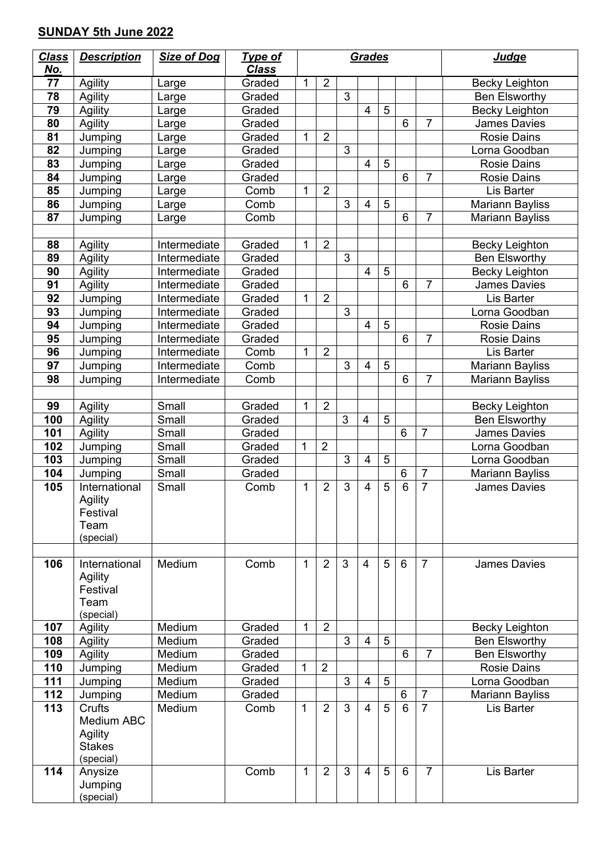## **SUNDAY 5th June 2022**

| <b>Class</b> | <b>Description</b>         | <b>Size of Dog</b> | <b>Type of</b>   |              |                |                | Grades         |                |                 |                | <b>Judge</b>                                 |
|--------------|----------------------------|--------------------|------------------|--------------|----------------|----------------|----------------|----------------|-----------------|----------------|----------------------------------------------|
| <u>No.</u>   |                            |                    | <b>Class</b>     |              |                |                |                |                |                 |                |                                              |
| 77           | <b>Agility</b>             | Large              | Graded           | 1            | $\overline{2}$ |                |                |                |                 |                | <b>Becky Leighton</b>                        |
| 78           | Agility                    | Large              | Graded           |              |                | $\overline{3}$ |                |                |                 |                | <b>Ben Elsworthy</b>                         |
| 79           | Agility                    | Large              | Graded           |              |                |                | $\overline{4}$ | $\overline{5}$ |                 |                | <b>Becky Leighton</b>                        |
| 80           | Agility                    | Large              | Graded           |              |                |                |                |                | $6\phantom{1}6$ | 7              | <b>James Davies</b>                          |
| 81           | Jumping                    | Large              | Graded           | 1            | $\overline{2}$ |                |                |                |                 |                | <b>Rosie Dains</b>                           |
| 82           | Jumping                    | Large              | Graded           |              |                | $\overline{3}$ |                |                |                 |                | Lorna Goodban                                |
| 83           | Jumping                    | Large              | Graded           |              |                |                | 4              | $\overline{5}$ |                 |                | <b>Rosie Dains</b>                           |
| 84           | Jumping                    | Large              | Graded           |              |                |                |                |                | 6               | $\overline{7}$ | <b>Rosie Dains</b>                           |
| 85           | Jumping                    | Large              | Comb             | 1            | $\overline{2}$ |                |                |                |                 |                | Lis Barter                                   |
| 86           | Jumping                    | Large              | Comb             |              |                | 3              | 4              | 5              | 6               | $\overline{7}$ | <b>Mariann Bayliss</b>                       |
| 87           | Jumping                    | Large              | Comb             |              |                |                |                |                |                 |                | Mariann Bayliss                              |
|              |                            | Intermediate       | Graded           | 1            | $\overline{2}$ |                |                |                |                 |                |                                              |
| 88           | Agility                    | Intermediate       |                  |              |                | 3              |                |                |                 |                | <b>Becky Leighton</b>                        |
| 89<br>90     | Agility                    | Intermediate       | Graded           |              |                |                | $\overline{4}$ | 5              |                 |                | <b>Ben Elsworthy</b>                         |
| 91           | Agility<br>Agility         | Intermediate       | Graded<br>Graded |              |                |                |                |                | 6               | $\overline{7}$ | <b>Becky Leighton</b><br><b>James Davies</b> |
| 92           | Jumping                    | Intermediate       | Graded           | $\mathbf{1}$ | $\overline{2}$ |                |                |                |                 |                | Lis Barter                                   |
| 93           | Jumping                    | Intermediate       | Graded           |              |                | 3              |                |                |                 |                | Lorna Goodban                                |
| 94           | Jumping                    | Intermediate       | Graded           |              |                |                | 4              | $\overline{5}$ |                 |                | <b>Rosie Dains</b>                           |
| 95           | Jumping                    | Intermediate       | Graded           |              |                |                |                |                | 6               | $\overline{7}$ | <b>Rosie Dains</b>                           |
| 96           | Jumping                    | Intermediate       | Comb             | 1            | $\overline{2}$ |                |                |                |                 |                | Lis Barter                                   |
| 97           | Jumping                    | Intermediate       | Comb             |              |                | 3              | 4              | $\overline{5}$ |                 |                | <b>Mariann Bayliss</b>                       |
| 98           | Jumping                    | Intermediate       | Comb             |              |                |                |                |                | 6               | 7              | <b>Mariann Bayliss</b>                       |
|              |                            |                    |                  |              |                |                |                |                |                 |                |                                              |
| 99           | <b>Agility</b>             | Small              | Graded           | 1            | $\overline{2}$ |                |                |                |                 |                | <b>Becky Leighton</b>                        |
| 100          | Agility                    | Small              | Graded           |              |                | 3              | 4              | 5              |                 |                | <b>Ben Elsworthy</b>                         |
| 101          | Agility                    | Small              | Graded           |              |                |                |                |                | 6               | $\overline{7}$ | <b>James Davies</b>                          |
| 102          | Jumping                    | Small              | Graded           | 1            | $\overline{2}$ |                |                |                |                 |                | Lorna Goodban                                |
| 103          | Jumping                    | Small              | Graded           |              |                | 3              | $\overline{4}$ | 5              |                 |                | Lorna Goodban                                |
| 104          | Jumping                    | Small              | Graded           |              |                |                |                |                | 6               | $\overline{7}$ | <b>Mariann Bayliss</b>                       |
| 105          | International              | Small              | Comb             | 1            | $\overline{2}$ | 3              | 4              | 5              | $6\phantom{1}6$ | $\overline{7}$ | <b>James Davies</b>                          |
|              | Agility                    |                    |                  |              |                |                |                |                |                 |                |                                              |
|              | Festival                   |                    |                  |              |                |                |                |                |                 |                |                                              |
|              | Team                       |                    |                  |              |                |                |                |                |                 |                |                                              |
|              | (special)                  |                    |                  |              |                |                |                |                |                 |                |                                              |
|              |                            |                    |                  |              |                |                |                |                |                 |                |                                              |
| 106          | International              | Medium             | Comb             | 1            | 2              | 3              | 4              | 5              | 6               | $\overline{7}$ | <b>James Davies</b>                          |
|              | <b>Agility</b><br>Festival |                    |                  |              |                |                |                |                |                 |                |                                              |
|              | Team                       |                    |                  |              |                |                |                |                |                 |                |                                              |
|              | (special)                  |                    |                  |              |                |                |                |                |                 |                |                                              |
| 107          | Agility                    | Medium             | Graded           | $\mathbf{1}$ | $\overline{2}$ |                |                |                |                 |                | Becky Leighton                               |
| 108          | Agility                    | Medium             | Graded           |              |                | 3              | 4              | 5              |                 |                | Ben Elsworthy                                |
| 109          | Agility                    | Medium             | Graded           |              |                |                |                |                | 6               | $\overline{7}$ | <b>Ben Elsworthy</b>                         |
| 110          | Jumping                    | Medium             | Graded           | $\mathbf{1}$ | $\overline{2}$ |                |                |                |                 |                | <b>Rosie Dains</b>                           |
| 111          | Jumping                    | Medium             | Graded           |              |                | 3              | $\overline{4}$ | 5              |                 |                | Lorna Goodban                                |
| 112          | Jumping                    | Medium             | Graded           |              |                |                |                |                | 6               | $\overline{7}$ | Mariann Bayliss                              |
| 113          | Crufts                     | Medium             | Comb             | $\mathbf{1}$ | 2              | 3              | 4              | 5              | 6               | $\overline{7}$ | Lis Barter                                   |
|              | Medium ABC                 |                    |                  |              |                |                |                |                |                 |                |                                              |
|              | <b>Agility</b>             |                    |                  |              |                |                |                |                |                 |                |                                              |
|              | <b>Stakes</b>              |                    |                  |              |                |                |                |                |                 |                |                                              |
|              | (special)                  |                    |                  |              |                |                |                |                |                 |                |                                              |
| 114          | Anysize                    |                    | Comb             | $\mathbf{1}$ | 2              | 3              | $\overline{4}$ | 5              | 6               | $\overline{7}$ | Lis Barter                                   |
|              | Jumping<br>(special)       |                    |                  |              |                |                |                |                |                 |                |                                              |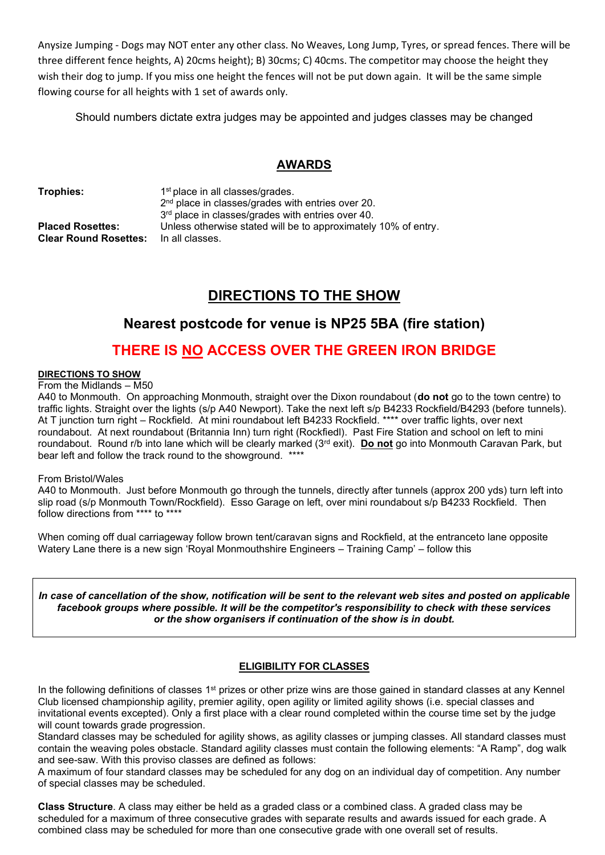Anysize Jumping - Dogs may NOT enter any other class. No Weaves, Long Jump, Tyres, or spread fences. There will be three different fence heights, A) 20cms height); B) 30cms; C) 40cms. The competitor may choose the height they wish their dog to jump. If you miss one height the fences will not be put down again. It will be the same simple flowing course for all heights with 1 set of awards only.

Should numbers dictate extra judges may be appointed and judges classes may be changed

### **AWARDS**

**Trophies:** 

1<sup>st</sup> place in all classes/grades. 2 nd place in classes/grades with entries over 20. 3 rd place in classes/grades with entries over 40. **Placed Rosettes:** Unless otherwise stated will be to approximately 10% of entry. **Clear Round Rosettes:** In all classes.

## **DIRECTIONS TO THE SHOW**

## **Nearest postcode for venue is NP25 5BA (fire station)**

## **THERE IS NO ACCESS OVER THE GREEN IRON BRIDGE**

#### **DIRECTIONS TO SHOW**

From the Midlands – M50

A40 to Monmouth. On approaching Monmouth, straight over the Dixon roundabout (**do not** go to the town centre) to traffic lights. Straight over the lights (s/p A40 Newport). Take the next left s/p B4233 Rockfield/B4293 (before tunnels). At T junction turn right – Rockfield. At mini roundabout left B4233 Rockfield. \*\*\*\* over traffic lights, over next roundabout. At next roundabout (Britannia Inn) turn right (Rockfiedl). Past Fire Station and school on left to mini roundabout. Round r/b into lane which will be clearly marked (3rd exit). **Do not** go into Monmouth Caravan Park, but bear left and follow the track round to the showground. \*\*\*\*

#### From Bristol/Wales

A40 to Monmouth. Just before Monmouth go through the tunnels, directly after tunnels (approx 200 yds) turn left into slip road (s/p Monmouth Town/Rockfield). Esso Garage on left, over mini roundabout s/p B4233 Rockfield. Then follow directions from \*\*\*\* to \*\*\*\*

When coming off dual carriageway follow brown tent/caravan signs and Rockfield, at the entranceto lane opposite Watery Lane there is a new sign 'Royal Monmouthshire Engineers – Training Camp' – follow this

*In case of cancellation of the show, notification will be sent to the relevant web sites and posted on applicable facebook groups where possible. It will be the competitor's responsibility to check with these services or the show organisers if continuation of the show is in doubt.*

#### **ELIGIBILITY FOR CLASSES**

In the following definitions of classes 1<sup>st</sup> prizes or other prize wins are those gained in standard classes at any Kennel Club licensed championship agility, premier agility, open agility or limited agility shows (i.e. special classes and invitational events excepted). Only a first place with a clear round completed within the course time set by the judge will count towards grade progression.

Standard classes may be scheduled for agility shows, as agility classes or jumping classes. All standard classes must contain the weaving poles obstacle. Standard agility classes must contain the following elements: "A Ramp", dog walk and see-saw. With this proviso classes are defined as follows:

A maximum of four standard classes may be scheduled for any dog on an individual day of competition. Any number of special classes may be scheduled.

**Class Structure**. A class may either be held as a graded class or a combined class. A graded class may be scheduled for a maximum of three consecutive grades with separate results and awards issued for each grade. A combined class may be scheduled for more than one consecutive grade with one overall set of results.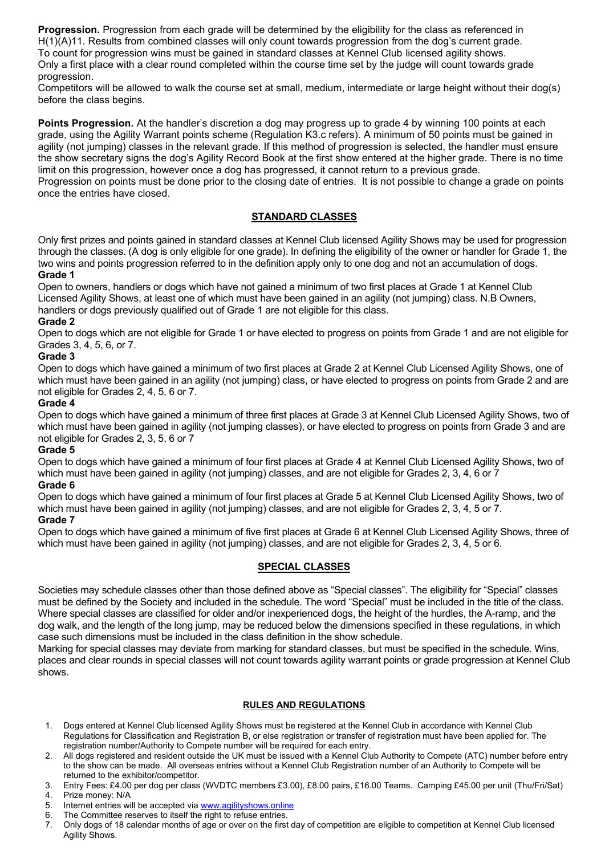**Progression.** Progression from each grade will be determined by the eligibility for the class as referenced in H(1)(A)11. Results from combined classes will only count towards progression from the dog's current grade. To count for progression wins must be gained in standard classes at Kennel Club licensed agility shows. Only a first place with a clear round completed within the course time set by the judge will count towards grade progression.

Competitors will be allowed to walk the course set at small, medium, intermediate or large height without their dog(s) before the class begins.

**Points Progression.** At the handler's discretion a dog may progress up to grade 4 by winning 100 points at each grade, using the Agility Warrant points scheme (Regulation K3.c refers). A minimum of 50 points must be gained in agility (not jumping) classes in the relevant grade. If this method of progression is selected, the handler must ensure the show secretary signs the dog's Agility Record Book at the first show entered at the higher grade. There is no time limit on this progression, however once a dog has progressed, it cannot return to a previous grade.

Progression on points must be done prior to the closing date of entries. It is not possible to change a grade on points once the entries have closed.

#### **STANDARD CLASSES**

Only first prizes and points gained in standard classes at Kennel Club licensed Agility Shows may be used for progression through the classes. (A dog is only eligible for one grade). In defining the eligibility of the owner or handler for Grade 1, the two wins and points progression referred to in the definition apply only to one dog and not an accumulation of dogs.

#### **Grade 1**

Open to owners, handlers or dogs which have not gained a minimum of two first places at Grade 1 at Kennel Club Licensed Agility Shows, at least one of which must have been gained in an agility (not jumping) class. N.B Owners, handlers or dogs previously qualified out of Grade 1 are not eligible for this class.

#### **Grade 2**

Open to dogs which are not eligible for Grade 1 or have elected to progress on points from Grade 1 and are not eligible for Grades 3, 4, 5, 6, or 7.

#### **Grade 3**

Open to dogs which have gained a minimum of two first places at Grade 2 at Kennel Club Licensed Agility Shows, one of which must have been gained in an agility (not jumping) class, or have elected to progress on points from Grade 2 and are not eligible for Grades 2, 4, 5, 6 or 7.

#### **Grade 4**

Open to dogs which have gained a minimum of three first places at Grade 3 at Kennel Club Licensed Agility Shows, two of which must have been gained in agility (not jumping classes), or have elected to progress on points from Grade 3 and are not eligible for Grades 2, 3, 5, 6 or 7

#### **Grade 5**

Open to dogs which have gained a minimum of four first places at Grade 4 at Kennel Club Licensed Agility Shows, two of which must have been gained in agility (not jumping) classes, and are not eligible for Grades 2, 3, 4, 6 or 7

#### **Grade 6**

Open to dogs which have gained a minimum of four first places at Grade 5 at Kennel Club Licensed Agility Shows, two of which must have been gained in agility (not jumping) classes, and are not eligible for Grades 2, 3, 4, 5 or 7.

#### **Grade 7**

Open to dogs which have gained a minimum of five first places at Grade 6 at Kennel Club Licensed Agility Shows, three of which must have been gained in agility (not jumping) classes, and are not eligible for Grades 2, 3, 4, 5 or 6.

#### **SPECIAL CLASSES**

Societies may schedule classes other than those defined above as "Special classes". The eligibility for "Special" classes must be defined by the Society and included in the schedule. The word "Special" must be included in the title of the class. Where special classes are classified for older and/or inexperienced dogs, the height of the hurdles, the A-ramp, and the dog walk, and the length of the long jump, may be reduced below the dimensions specified in these regulations, in which case such dimensions must be included in the class definition in the show schedule.

Marking for special classes may deviate from marking for standard classes, but must be specified in the schedule. Wins, places and clear rounds in special classes will not count towards agility warrant points or grade progression at Kennel Club shows.

#### **RULES AND REGULATIONS**

- 1. Dogs entered at Kennel Club licensed Agility Shows must be registered at the Kennel Club in accordance with Kennel Club Regulations for Classification and Registration B, or else registration or transfer of registration must have been applied for. The registration number/Authority to Compete number will be required for each entry.
- 2. All dogs registered and resident outside the UK must be issued with a Kennel Club Authority to Compete (ATC) number before entry to the show can be made. All overseas entries without a Kennel Club Registration number of an Authority to Compete will be returned to the exhibitor/competitor.
- 3. Entry Fees: £4.00 per dog per class (WVDTC members £3.00), £8.00 pairs, £16.00 Teams. Camping £45.00 per unit (Thu/Fri/Sat)
- 4. Prize money: N/A
- 5. Internet entries will be accepted vi[a www.agilityshows.online](http://www.agilityshows.online/)
- 6. The Committee reserves to itself the right to refuse entries.
- 7. Only dogs of 18 calendar months of age or over on the first day of competition are eligible to competition at Kennel Club licensed Agility Shows.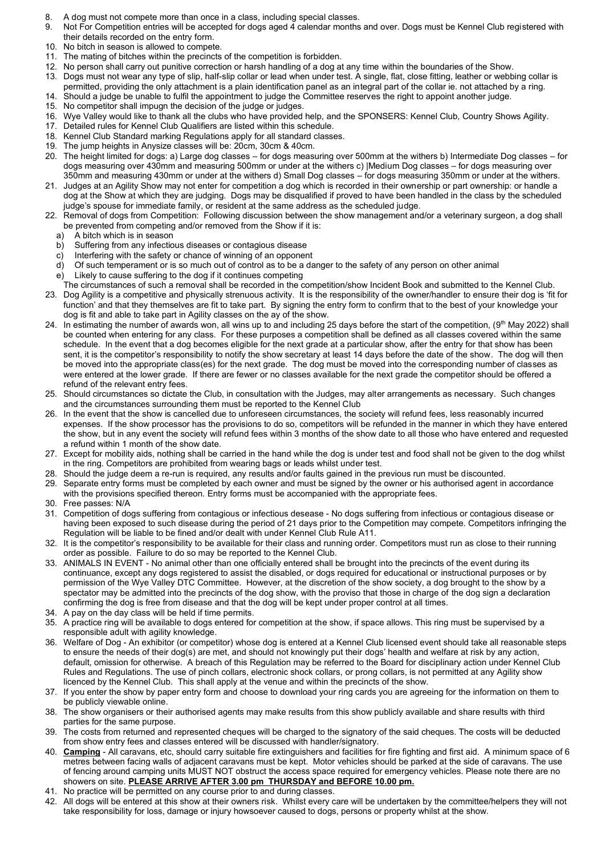- 8. A dog must not compete more than once in a class, including special classes.
- 9. Not For Competition entries will be accepted for dogs aged 4 calendar months and over. Dogs must be Kennel Club registered with their details recorded on the entry form.
- 10. No bitch in season is allowed to compete.
- 11. The mating of bitches within the precincts of the competition is forbidden.
- 12. No person shall carry out punitive correction or harsh handling of a dog at any time within the boundaries of the Show.
- 13. Dogs must not wear any type of slip, half-slip collar or lead when under test. A single, flat, close fitting, leather or webbing collar is permitted, providing the only attachment is a plain identification panel as an integral part of the collar ie. not attached by a ring.
- 14. Should a judge be unable to fulfil the appointment to judge the Committee reserves the right to appoint another judge.
- 15. No competitor shall impugn the decision of the judge or judges.
- 16. Wye Valley would like to thank all the clubs who have provided help, and the SPONSERS: Kennel Club, Country Shows Agility.
- 17. Detailed rules for Kennel Club Qualifiers are listed within this schedule.
- 18. Kennel Club Standard marking Regulations apply for all standard classes.
- 19. The jump heights in Anysize classes will be: 20cm, 30cm & 40cm.
- 20. The height limited for dogs: a) Large dog classes for dogs measuring over 500mm at the withers b) Intermediate Dog classes for dogs measuring over 430mm and measuring 500mm or under at the withers c) |Medium Dog classes – for dogs measuring over 350mm and measuring 430mm or under at the withers d) Small Dog classes – for dogs measuring 350mm or under at the withers.
- 21. Judges at an Agility Show may not enter for competition a dog which is recorded in their ownership or part ownership: or handle a dog at the Show at which they are judging. Dogs may be disqualified if proved to have been handled in the class by the scheduled judge's spouse for immediate family, or resident at the same address as the scheduled judge.
- 22. Removal of dogs from Competition: Following discussion between the show management and/or a veterinary surgeon, a dog shall be prevented from competing and/or removed from the Show if it is:
	- a) A bitch which is in season<br>b) Suffering from any infectio
	- Suffering from any infectious diseases or contagious disease
	- c) Interfering with the safety or chance of winning of an opponent
	- d) Of such temperament or is so much out of control as to be a danger to the safety of any person on other animal
	- e) Likely to cause suffering to the dog if it continues competing
	- The circumstances of such a removal shall be recorded in the competition/show Incident Book and submitted to the Kennel Club.
- 23. Dog Agility is a competitive and physically strenuous activity. It is the responsibility of the owner/handler to ensure their dog is 'fit for function' and that they themselves are fit to take part. By signing the entry form to confirm that to the best of your knowledge your dog is fit and able to take part in Agility classes on the ay of the show.
- 24. In estimating the number of awards won, all wins up to and including 25 days before the start of the competition, (9<sup>th</sup> May 2022) shall be counted when entering for any class. For these purposes a competition shall be defined as all classes covered within the same schedule. In the event that a dog becomes eligible for the next grade at a particular show, after the entry for that show has been sent, it is the competitor's responsibility to notify the show secretary at least 14 days before the date of the show. The dog will then be moved into the appropriate class(es) for the next grade. The dog must be moved into the corresponding number of classes as were entered at the lower grade. If there are fewer or no classes available for the next grade the competitor should be offered a refund of the relevant entry fees.
- 25. Should circumstances so dictate the Club, in consultation with the Judges, may alter arrangements as necessary. Such changes and the circumstances surrounding them must be reported to the Kennel Club
- 26. In the event that the show is cancelled due to unforeseen circumstances, the society will refund fees, less reasonably incurred expenses. If the show processor has the provisions to do so, competitors will be refunded in the manner in which they have entered the show, but in any event the society will refund fees within 3 months of the show date to all those who have entered and requested a refund within 1 month of the show date.
- 27. Except for mobility aids, nothing shall be carried in the hand while the dog is under test and food shall not be given to the dog whilst in the ring. Competitors are prohibited from wearing bags or leads whilst under test.
- 28. Should the judge deem a re-run is required, any results and/or faults gained in the previous run must be discounted.
- 29. Separate entry forms must be completed by each owner and must be signed by the owner or his authorised agent in accordance with the provisions specified thereon. Entry forms must be accompanied with the appropriate fees.
- 30. Free passes: N/A
- 31. Competition of dogs suffering from contagious or infectious desease No dogs suffering from infectious or contagious disease or having been exposed to such disease during the period of 21 days prior to the Competition may compete. Competitors infringing the Regulation will be liable to be fined and/or dealt with under Kennel Club Rule A11.
- 32. It is the competitor's responsibility to be available for their class and running order. Competitors must run as close to their running order as possible. Failure to do so may be reported to the Kennel Club.
- 33. ANIMALS IN EVENT No animal other than one officially entered shall be brought into the precincts of the event during its continuance, except any dogs registered to assist the disabled, or dogs required for educational or instructional purposes or by permission of the Wye Valley DTC Committee. However, at the discretion of the show society, a dog brought to the show by a spectator may be admitted into the precincts of the dog show, with the proviso that those in charge of the dog sign a declaration confirming the dog is free from disease and that the dog will be kept under proper control at all times.
- 34. A pay on the day class will be held if time permits.
- 35. A practice ring will be available to dogs entered for competition at the show, if space allows. This ring must be supervised by a responsible adult with agility knowledge.
- 36. Welfare of Dog An exhibitor (or competitor) whose dog is entered at a Kennel Club licensed event should take all reasonable steps to ensure the needs of their dog(s) are met, and should not knowingly put their dogs' health and welfare at risk by any action, default, omission for otherwise. A breach of this Regulation may be referred to the Board for disciplinary action under Kennel Club Rules and Regulations. The use of pinch collars, electronic shock collars, or prong collars, is not permitted at any Agility show licenced by the Kennel Club. This shall apply at the venue and within the precincts of the show.
- 37. If you enter the show by paper entry form and choose to download your ring cards you are agreeing for the information on them to be publicly viewable online.
- 38. The show organisers or their authorised agents may make results from this show publicly available and share results with third parties for the same purpose.
- 39. The costs from returned and represented cheques will be charged to the signatory of the said cheques. The costs will be deducted from show entry fees and classes entered will be discussed with handler/signatory.
- 40. **Camping** All caravans, etc, should carry suitable fire extinguishers and facilities for fire fighting and first aid. A minimum space of 6 metres between facing walls of adjacent caravans must be kept. Motor vehicles should be parked at the side of caravans. The use of fencing around camping units MUST NOT obstruct the access space required for emergency vehicles. Please note there are no showers on site. **PLEASE ARRIVE AFTER 3.00 pm THURSDAY and BEFORE 10.00 pm.**
- 41. No practice will be permitted on any course prior to and during classes.
- 42. All dogs will be entered at this show at their owners risk. Whilst every care will be undertaken by the committee/helpers they will not take responsibility for loss, damage or injury howsoever caused to dogs, persons or property whilst at the show.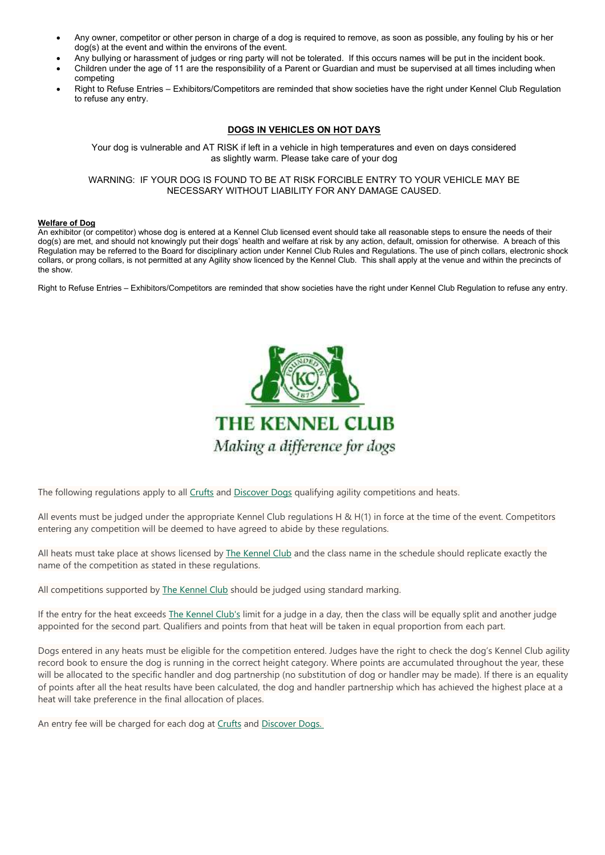- Any owner, competitor or other person in charge of a dog is required to remove, as soon as possible, any fouling by his or her dog(s) at the event and within the environs of the event.
- Any bullying or harassment of judges or ring party will not be tolerated. If this occurs names will be put in the incident book.
- Children under the age of 11 are the responsibility of a Parent or Guardian and must be supervised at all times including when competing
- Right to Refuse Entries Exhibitors/Competitors are reminded that show societies have the right under Kennel Club Regulation to refuse any entry.

#### **DOGS IN VEHICLES ON HOT DAYS**

Your dog is vulnerable and AT RISK if left in a vehicle in high temperatures and even on days considered as slightly warm. Please take care of your dog

WARNING: IF YOUR DOG IS FOUND TO BE AT RISK FORCIBLE ENTRY TO YOUR VEHICLE MAY BE NECESSARY WITHOUT LIABILITY FOR ANY DAMAGE CAUSED.

#### **Welfare of Dog**

An exhibitor (or competitor) whose dog is entered at a Kennel Club licensed event should take all reasonable steps to ensure the needs of their dog(s) are met, and should not knowingly put their dogs' health and welfare at risk by any action, default, omission for otherwise. A breach of this Regulation may be referred to the Board for disciplinary action under Kennel Club Rules and Regulations. The use of pinch collars, electronic shock collars, or prong collars, is not permitted at any Agility show licenced by the Kennel Club. This shall apply at the venue and within the precincts of the show.

Right to Refuse Entries – Exhibitors/Competitors are reminded that show societies have the right under Kennel Club Regulation to refuse any entry.



The following regulations apply to all [Crufts](https://www.crufts.org.uk/) and [Discover](https://www.discoverdogs.org.uk/) Dogs qualifying agility competitions and heats.

All events must be judged under the appropriate Kennel Club regulations H & H(1) in force at the time of the event. Competitors entering any competition will be deemed to have agreed to abide by these regulations.

All heats must take place at shows licensed by The [Kennel](https://www.thekennelclub.org.uk/) Club and the class name in the schedule should replicate exactly the name of the competition as stated in these regulations.

All competitions supported by The [Kennel](https://www.thekennelclub.org.uk/) Club should be judged using standard marking.

If the entry for the heat exceeds The [Kennel](https://www.thekennelclub.org.uk/) Club's limit for a judge in a day, then the class will be equally split and another judge appointed for the second part. Qualifiers and points from that heat will be taken in equal proportion from each part.

Dogs entered in any heats must be eligible for the competition entered. Judges have the right to check the dog's Kennel Club agility record book to ensure the dog is running in the correct height category. Where points are accumulated throughout the year, these will be allocated to the specific handler and dog partnership (no substitution of dog or handler may be made). If there is an equality of points after all the heat results have been calculated, the dog and handler partnership which has achieved the highest place at a heat will take preference in the final allocation of places.

An entry fee will be charged for each dog at [Crufts](https://www.crufts.org.uk/) and [Discover](https://www.discoverdogs.org.uk/?_ga=2.82992022.187571103.1644348678-310634427.1644348678) Dogs.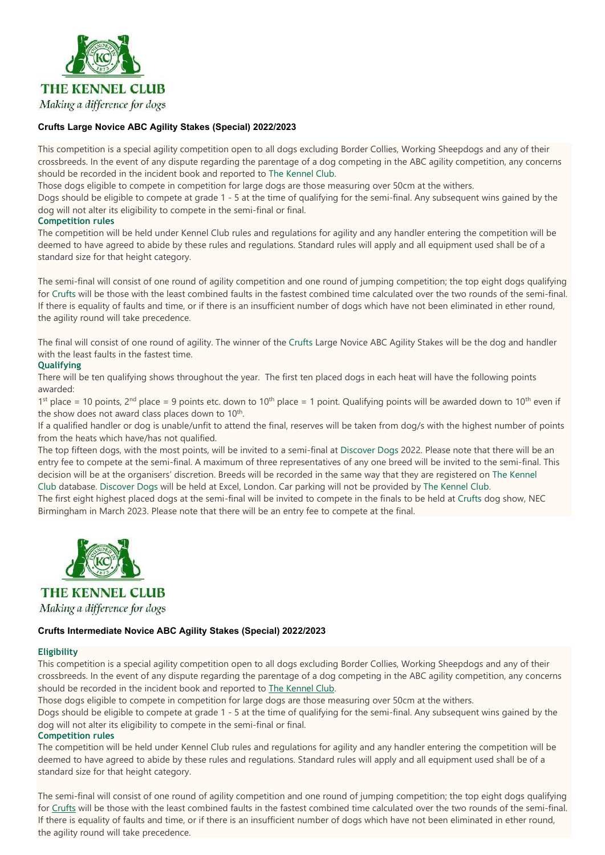

#### **Crufts Large Novice ABC Agility Stakes (Special) 2022/2023**

This competition is a special agility competition open to all dogs excluding Border Collies, Working Sheepdogs and any of their crossbreeds. In the event of any dispute regarding the parentage of a dog competing in the ABC agility competition, any concerns should be recorded in the incident book and reported to The [Kennel](https://www.thekennelclub.org.uk/) Club.

Those dogs eligible to compete in competition for large dogs are those measuring over 50cm at the withers.

Dogs should be eligible to compete at grade 1 - 5 at the time of qualifying for the semi-final. Any subsequent wins gained by the dog will not alter its eligibility to compete in the semi-final or final.

#### **Competition rules**

The competition will be held under Kennel Club rules and regulations for agility and any handler entering the competition will be deemed to have agreed to abide by these rules and regulations. Standard rules will apply and all equipment used shall be of a standard size for that height category.

The semi-final will consist of one round of agility competition and one round of jumping competition; the top eight dogs qualifying for [Crufts](https://www.crufts.org.uk/) will be those with the least combined faults in the fastest combined time calculated over the two rounds of the semi-final. If there is equality of faults and time, or if there is an insufficient number of dogs which have not been eliminated in ether round, the agility round will take precedence.

The final will consist of one round of agility. The winner of the [Crufts](https://www.crufts.org.uk/) Large Novice ABC Agility Stakes will be the dog and handler with the least faults in the fastest time.

#### **Qualifying**

There will be ten qualifying shows throughout the year. The first ten placed dogs in each heat will have the following points awarded:

1<sup>st</sup> place = 10 points, 2<sup>nd</sup> place = 9 points etc. down to 10<sup>th</sup> place = 1 point. Qualifying points will be awarded down to 10<sup>th</sup> even if the show does not award class places down to 10<sup>th</sup>.

If a qualified handler or dog is unable/unfit to attend the final, reserves will be taken from dog/s with the highest number of points from the heats which have/has not qualified.

The top fifteen dogs, with the most points, will be invited to a semi-final at [Discover](https://www.discoverdogs.org.uk/) Dogs 2022. Please note that there will be an entry fee to compete at the semi-final. A maximum of three representatives of any one breed will be invited to the semi-final. This decision will be at the organisers' discretion. Breeds will be recorded in the same way that they are registered on The [Kennel](https://www.thekennelclub.org.uk/) [Club](https://www.thekennelclub.org.uk/) database. [Discover](https://www.discoverdogs.org.uk/) Dogs will be held at Excel, London. Car parking will not be provided by The [Kennel](https://www.thekennelclub.org.uk/) Club.

The first eight highest placed dogs at the semi-final will be invited to compete in the finals to be held at [Crufts](https://www.crufts.org.uk/) dog show, NEC Birmingham in March 2023. Please note that there will be an entry fee to compete at the final.



**THE KENNEL CLUB** Making a difference for dogs

#### **Crufts Intermediate Novice ABC Agility Stakes (Special) 2022/2023**

#### **Eligibility**

This competition is a special agility competition open to all dogs excluding Border Collies, Working Sheepdogs and any of their crossbreeds. In the event of any dispute regarding the parentage of a dog competing in the ABC agility competition, any concerns should be recorded in the incident book and reported to The [Kennel](https://www.thekennelclub.org.uk/) Club.

Those dogs eligible to compete in competition for large dogs are those measuring over 50cm at the withers.

Dogs should be eligible to compete at grade 1 - 5 at the time of qualifying for the semi-final. Any subsequent wins gained by the dog will not alter its eligibility to compete in the semi-final or final.

#### **Competition rules**

The competition will be held under Kennel Club rules and regulations for agility and any handler entering the competition will be deemed to have agreed to abide by these rules and regulations. Standard rules will apply and all equipment used shall be of a standard size for that height category.

The semi-final will consist of one round of agility competition and one round of jumping competition; the top eight dogs qualifying for [Crufts](https://www.crufts.org.uk/) will be those with the least combined faults in the fastest combined time calculated over the two rounds of the semi-final. If there is equality of faults and time, or if there is an insufficient number of dogs which have not been eliminated in ether round, the agility round will take precedence.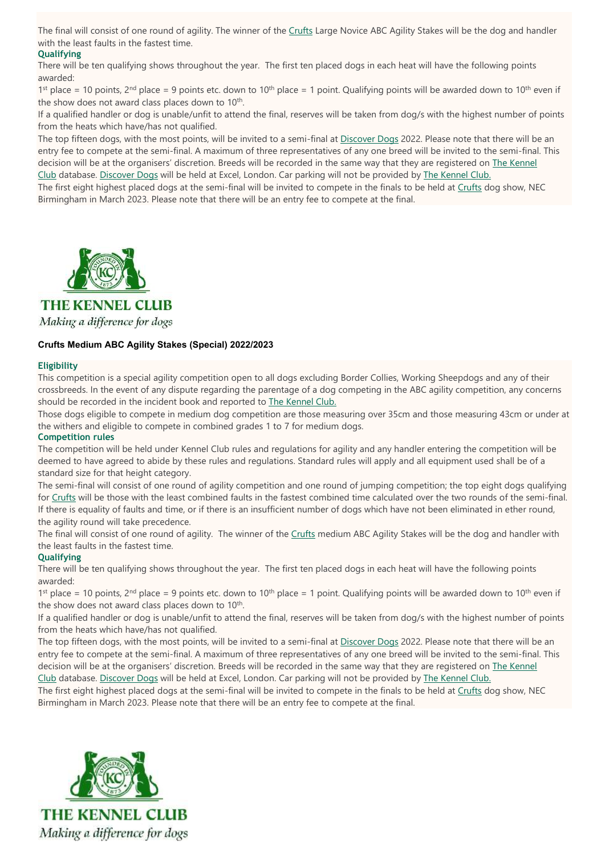The final will consist of one round of agility. The winner of the [Crufts](https://www.crufts.org.uk/) Large Novice ABC Agility Stakes will be the dog and handler with the least faults in the fastest time.

#### **Qualifying**

There will be ten qualifying shows throughout the year. The first ten placed dogs in each heat will have the following points awarded:

1<sup>st</sup> place = 10 points, 2<sup>nd</sup> place = 9 points etc. down to 10<sup>th</sup> place = 1 point. Qualifying points will be awarded down to 10<sup>th</sup> even if the show does not award class places down to 10<sup>th</sup>.

If a qualified handler or dog is unable/unfit to attend the final, reserves will be taken from dog/s with the highest number of points from the heats which have/has not qualified.

The top fifteen dogs, with the most points, will be invited to a semi-final at [Discover](https://www.discoverdogs.org.uk/) Dogs 2022. Please note that there will be an entry fee to compete at the semi-final. A maximum of three representatives of any one breed will be invited to the semi-final. This decision will be at the organisers' discretion. Breeds will be recorded in the same way that they are registered on The [Kennel](https://www.thekennelclub.org.uk/) [Club](https://www.thekennelclub.org.uk/) database. [Discover](https://www.discoverdogs.org.uk/) Dogs will be held at Excel, London. Car parking will not be provided by The [Kennel](https://www.thekennelclub.org.uk/) Club.

The first eight highest placed dogs at the semi-final will be invited to compete in the finals to be held at [Crufts](https://www.crufts.org.uk/) dog show, NEC Birmingham in March 2023. Please note that there will be an entry fee to compete at the final.



**THE KENNEL CLUB** 

Making a difference for dogs

#### **Crufts Medium ABC Agility Stakes (Special) 2022/2023**

#### **Eligibility**

This competition is a special agility competition open to all dogs excluding Border Collies, Working Sheepdogs and any of their crossbreeds. In the event of any dispute regarding the parentage of a dog competing in the ABC agility competition, any concerns should be recorded in the incident book and reported to The [Kennel](https://www.thekennelclub.org.uk/) Club.

Those dogs eligible to compete in medium dog competition are those measuring over 35cm and those measuring 43cm or under at the withers and eligible to compete in combined grades 1 to 7 for medium dogs.

#### **Competition rules**

The competition will be held under Kennel Club rules and regulations for agility and any handler entering the competition will be deemed to have agreed to abide by these rules and regulations. Standard rules will apply and all equipment used shall be of a standard size for that height category.

The semi-final will consist of one round of agility competition and one round of jumping competition; the top eight dogs qualifying for [Crufts](https://www.crufts.org.uk/) will be those with the least combined faults in the fastest combined time calculated over the two rounds of the semi-final. If there is equality of faults and time, or if there is an insufficient number of dogs which have not been eliminated in ether round, the agility round will take precedence.

The final will consist of one round of agility. The winner of the [Crufts](https://www.crufts.org.uk/) medium ABC Agility Stakes will be the dog and handler with the least faults in the fastest time.

#### **Qualifying**

There will be ten qualifying shows throughout the year. The first ten placed dogs in each heat will have the following points awarded:

1<sup>st</sup> place = 10 points, 2<sup>nd</sup> place = 9 points etc. down to 10<sup>th</sup> place = 1 point. Qualifying points will be awarded down to 10<sup>th</sup> even if the show does not award class places down to 10<sup>th</sup>.

If a qualified handler or dog is unable/unfit to attend the final, reserves will be taken from dog/s with the highest number of points from the heats which have/has not qualified.

The top fifteen dogs, with the most points, will be invited to a semi-final at [Discover](https://www.discoverdogs.org.uk/) Dogs 2022. Please note that there will be an entry fee to compete at the semi-final. A maximum of three representatives of any one breed will be invited to the semi-final. This decision will be at the organisers' discretion. Breeds will be recorded in the same way that they are registered on The [Kennel](https://www.thekennelclub.org.uk/) [Club](https://www.thekennelclub.org.uk/) database. [Discover](https://www.discoverdogs.org.uk/) Dogs will be held at Excel, London. Car parking will not be provided by The [Kennel](https://www.thekennelclub.org.uk/) Club.

The first eight highest placed dogs at the semi-final will be invited to compete in the finals to be held at [Crufts](https://www.crufts.org.uk/) dog show, NEC Birmingham in March 2023. Please note that there will be an entry fee to compete at the final.

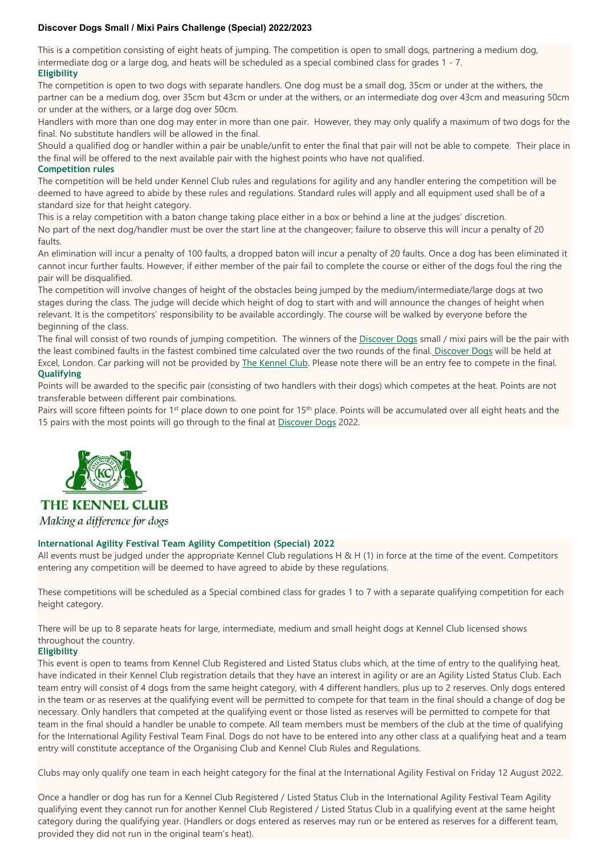#### **Discover Dogs Small / Mixi Pairs Challenge (Special) 2022/2023**

This is a competition consisting of eight heats of jumping. The competition is open to small dogs, partnering a medium dog, intermediate dog or a large dog, and heats will be scheduled as a special combined class for grades 1 - 7. **Eligibility**

The competition is open to two dogs with separate handlers. One dog must be a small dog, 35cm or under at the withers, the partner can be a medium dog, over 35cm but 43cm or under at the withers, or an intermediate dog over 43cm and measuring 50cm or under at the withers, or a large dog over 50cm.

Handlers with more than one dog may enter in more than one pair. However, they may only qualify a maximum of two dogs for the final. No substitute handlers will be allowed in the final.

Should a qualified dog or handler within a pair be unable/unfit to enter the final that pair will not be able to compete. Their place in the final will be offered to the next available pair with the highest points who have not qualified.

#### **Competition rules**

The competition will be held under Kennel Club rules and regulations for agility and any handler entering the competition will be deemed to have agreed to abide by these rules and regulations. Standard rules will apply and all equipment used shall be of a standard size for that height category.

This is a relay competition with a baton change taking place either in a box or behind a line at the judges' discretion. No part of the next dog/handler must be over the start line at the changeover; failure to observe this will incur a penalty of 20 faults.

An elimination will incur a penalty of 100 faults, a dropped baton will incur a penalty of 20 faults. Once a dog has been eliminated it cannot incur further faults. However, if either member of the pair fail to complete the course or either of the dogs foul the ring the pair will be disqualified.

The competition will involve changes of height of the obstacles being jumped by the medium/intermediate/large dogs at two stages during the class. The judge will decide which height of dog to start with and will announce the changes of height when relevant. It is the competitors' responsibility to be available accordingly. The course will be walked by everyone before the beginning of the class.

The final will consist of two rounds of jumping competition. The winners of the [Discover](https://www.discoverdogs.org.uk/) Dogs small / mixi pairs will be the pair with the least combined faults in the fastest combined time calculated over the two rounds of the final. [Discover](https://www.discoverdogs.org.uk/) Dogs will be held at Excel, London. Car parking will not be provided by The [Kennel](https://www.thekennelclub.org.uk/) Club. Please note there will be an entry fee to compete in the final. **Qualifying**

Points will be awarded to the specific pair (consisting of two handlers with their dogs) which competes at the heat. Points are not transferable between different pair combinations.

Pairs will score fifteen points for 1<sup>st</sup> place down to one point for 15<sup>th</sup> place. Points will be accumulated over all eight heats and the 15 pairs with the most points will go through to the final at [Discover](https://www.discoverdogs.org.uk/) Dogs 2022.



### **THE KENNEL CLUB** Making a difference for dogs

#### **International Agility Festival Team Agility Competition (Special) 2022**

All events must be judged under the appropriate Kennel Club regulations H & H (1) in force at the time of the event. Competitors entering any competition will be deemed to have agreed to abide by these regulations.

These competitions will be scheduled as a Special combined class for grades 1 to 7 with a separate qualifying competition for each height category.

There will be up to 8 separate heats for large, intermediate, medium and small height dogs at Kennel Club licensed shows throughout the country.

#### **Eligibility**

This event is open to teams from Kennel Club Registered and Listed Status clubs which, at the time of entry to the qualifying heat, have indicated in their Kennel Club registration details that they have an interest in agility or are an Agility Listed Status Club. Each team entry will consist of 4 dogs from the same height category, with 4 different handlers, plus up to 2 reserves. Only dogs entered in the team or as reserves at the qualifying event will be permitted to compete for that team in the final should a change of dog be necessary. Only handlers that competed at the qualifying event or those listed as reserves will be permitted to compete for that team in the final should a handler be unable to compete. All team members must be members of the club at the time of qualifying for the International Agility Festival Team Final. Dogs do not have to be entered into any other class at a qualifying heat and a team entry will constitute acceptance of the Organising Club and Kennel Club Rules and Regulations.

Clubs may only qualify one team in each height category for the final at the International Agility Festival on Friday 12 August 2022.

Once a handler or dog has run for a Kennel Club Registered / Listed Status Club in the International Agility Festival Team Agility qualifying event they cannot run for another Kennel Club Registered / Listed Status Club in a qualifying event at the same height category during the qualifying year. (Handlers or dogs entered as reserves may run or be entered as reserves for a different team, provided they did not run in the original team's heat).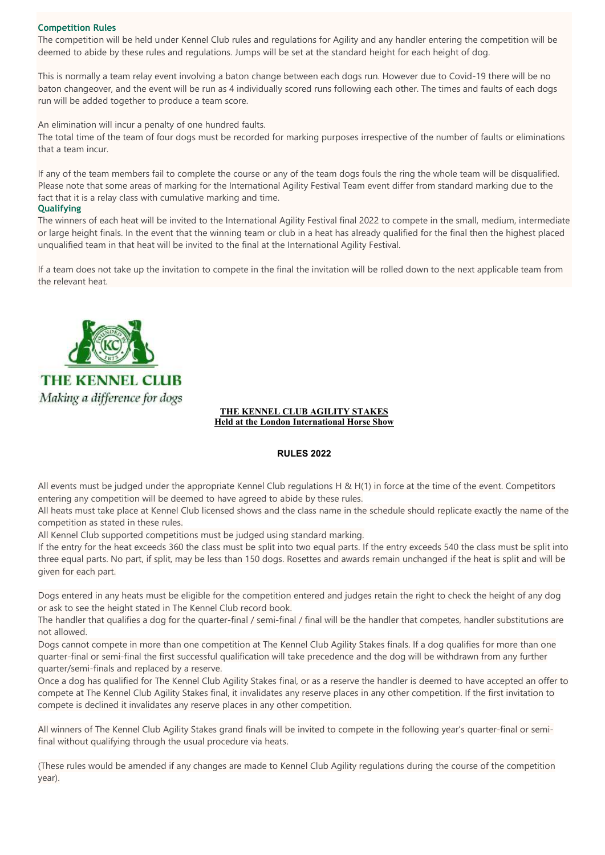#### **Competition Rules**

The competition will be held under Kennel Club rules and regulations for Agility and any handler entering the competition will be deemed to abide by these rules and regulations. Jumps will be set at the standard height for each height of dog.

This is normally a team relay event involving a baton change between each dogs run. However due to Covid-19 there will be no baton changeover, and the event will be run as 4 individually scored runs following each other. The times and faults of each dogs run will be added together to produce a team score.

An elimination will incur a penalty of one hundred faults.

The total time of the team of four dogs must be recorded for marking purposes irrespective of the number of faults or eliminations that a team incur.

If any of the team members fail to complete the course or any of the team dogs fouls the ring the whole team will be disqualified. Please note that some areas of marking for the International Agility Festival Team event differ from standard marking due to the fact that it is a relay class with cumulative marking and time.

#### **Qualifying**

The winners of each heat will be invited to the International Agility Festival final 2022 to compete in the small, medium, intermediate or large height finals. In the event that the winning team or club in a heat has already qualified for the final then the highest placed unqualified team in that heat will be invited to the final at the International Agility Festival.

If a team does not take up the invitation to compete in the final the invitation will be rolled down to the next applicable team from the relevant heat.



#### **THE KENNEL CLUB AGILITY STAKES Held at the London International Horse Show**

#### **RULES 2022**

All events must be judged under the appropriate Kennel Club regulations H & H(1) in force at the time of the event. Competitors entering any competition will be deemed to have agreed to abide by these rules.

All heats must take place at Kennel Club licensed shows and the class name in the schedule should replicate exactly the name of the competition as stated in these rules.

All Kennel Club supported competitions must be judged using standard marking.

If the entry for the heat exceeds 360 the class must be split into two equal parts. If the entry exceeds 540 the class must be split into three equal parts. No part, if split, may be less than 150 dogs. Rosettes and awards remain unchanged if the heat is split and will be given for each part.

Dogs entered in any heats must be eligible for the competition entered and judges retain the right to check the height of any dog or ask to see the height stated in The Kennel Club record book.

The handler that qualifies a dog for the quarter-final / semi-final / final will be the handler that competes, handler substitutions are not allowed.

Dogs cannot compete in more than one competition at The Kennel Club Agility Stakes finals. If a dog qualifies for more than one quarter-final or semi-final the first successful qualification will take precedence and the dog will be withdrawn from any further quarter/semi-finals and replaced by a reserve.

Once a dog has qualified for The Kennel Club Agility Stakes final, or as a reserve the handler is deemed to have accepted an offer to compete at The Kennel Club Agility Stakes final, it invalidates any reserve places in any other competition. If the first invitation to compete is declined it invalidates any reserve places in any other competition.

All winners of The Kennel Club Agility Stakes grand finals will be invited to compete in the following year's quarter-final or semifinal without qualifying through the usual procedure via heats.

(These rules would be amended if any changes are made to Kennel Club Agility regulations during the course of the competition year).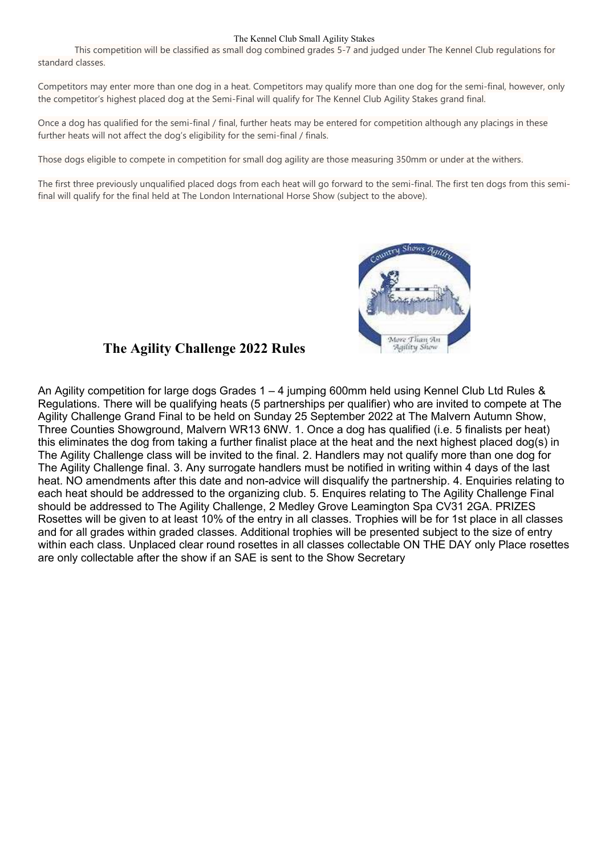#### The Kennel Club Small Agility Stakes

This competition will be classified as small dog combined grades 5-7 and judged under The Kennel Club regulations for standard classes.

Competitors may enter more than one dog in a heat. Competitors may qualify more than one dog for the semi-final, however, only the competitor's highest placed dog at the Semi-Final will qualify for The Kennel Club Agility Stakes grand final.

Once a dog has qualified for the semi-final / final, further heats may be entered for competition although any placings in these further heats will not affect the dog's eligibility for the semi-final / finals.

Those dogs eligible to compete in competition for small dog agility are those measuring 350mm or under at the withers.

The first three previously unqualified placed dogs from each heat will go forward to the semi-final. The first ten dogs from this semifinal will qualify for the final held at The London International Horse Show (subject to the above).



### **The Agility Challenge 2022 Rules**

An Agility competition for large dogs Grades 1 – 4 jumping 600mm held using Kennel Club Ltd Rules & Regulations. There will be qualifying heats (5 partnerships per qualifier) who are invited to compete at The Agility Challenge Grand Final to be held on Sunday 25 September 2022 at The Malvern Autumn Show, Three Counties Showground, Malvern WR13 6NW. 1. Once a dog has qualified (i.e. 5 finalists per heat) this eliminates the dog from taking a further finalist place at the heat and the next highest placed dog(s) in The Agility Challenge class will be invited to the final. 2. Handlers may not qualify more than one dog for The Agility Challenge final. 3. Any surrogate handlers must be notified in writing within 4 days of the last heat. NO amendments after this date and non-advice will disqualify the partnership. 4. Enquiries relating to each heat should be addressed to the organizing club. 5. Enquires relating to The Agility Challenge Final should be addressed to The Agility Challenge, 2 Medley Grove Leamington Spa CV31 2GA. PRIZES Rosettes will be given to at least 10% of the entry in all classes. Trophies will be for 1st place in all classes and for all grades within graded classes. Additional trophies will be presented subject to the size of entry within each class. Unplaced clear round rosettes in all classes collectable ON THE DAY only Place rosettes are only collectable after the show if an SAE is sent to the Show Secretary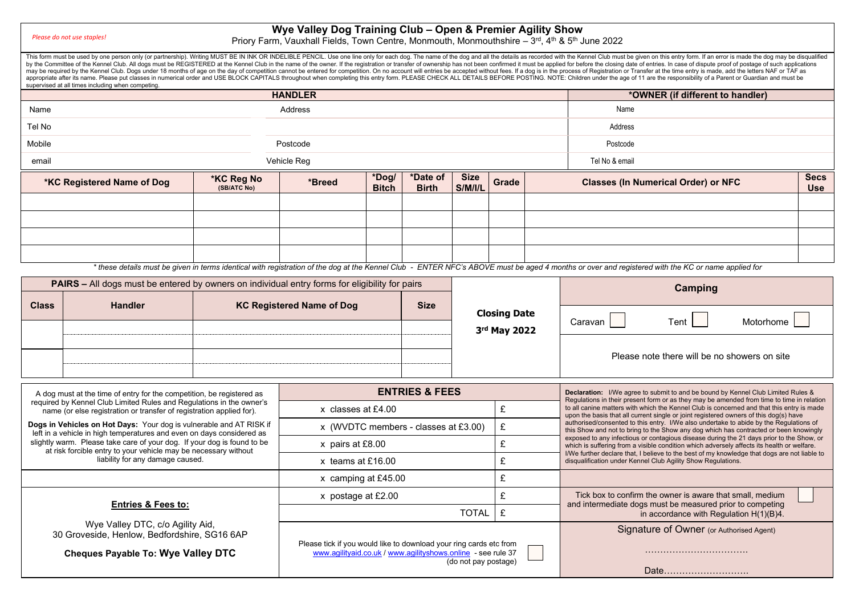*Please do not use staples!*

#### **Wye Valley Dog Training Club – Open & Premier Agility Show**

Priory Farm, Vauxhall Fields, Town Centre, Monmouth, Monmouthshire – 3<sup>rd</sup>, 4<sup>th</sup> & 5<sup>th</sup> June 2022

This form must be used by one person only (or partnership). Writing MUST BE IN INK OR INDELIBLE PENCIL. Use one line only for each dog. The name of the dog and all the details as recorded with the Kennel Club must be given by the Committee of the Kennel Club. All dogs must be REGISTERED at the Kennel Club in the name of the owner. If the registration or transfer of ownership has not been confirmed it must be applied for before the closing da may be required by the Kennel Club. Dogs under 18 months of age on the day of competition cannot be entered for competition. On no account will entries be accepted without frees. If a dog is in the process of Registration appropriate after its name. Please put classes in numerical order and USE BLOCK CAPITALS throughout when completing this entry form. PLEASE CHECK ALL DETAILS BEFORE POSTING. NOTE: Children under the age of 11 are the respo supervised at all times including when competing. **HANDLER \*OWNER (if different to handler)** Name Address Name Tel No Address Mobile Postcode Postcode email Vehicle Reg Tel No & email **\*KC Registered Name of Dog \*KC Reg No (SB/ATC No) \*Breed \*Dog/ Bitch \*Date of Birth Size S/M/I/L Grade Classes (In Numerical Order) or NFC Secs Use**

\* these details must be given in terms identical with registration of the dog at the Kennel Club - **ENTER NFC's ABOVE must be aged 4 months or over and registered with the KC or name applied for** 

| <b>PAIRS - All dogs must be entered by owners on individual entry forms for eligibility for pairs</b>                                            |                                                                                                     |                    |                                                                                                                                                            |                           |       |                                                                                                                                                                                                                                                                                                                                                                                                                                                                                                                                                                                                                                                              | Camping                                                                                                 |  |  |  |  |
|--------------------------------------------------------------------------------------------------------------------------------------------------|-----------------------------------------------------------------------------------------------------|--------------------|------------------------------------------------------------------------------------------------------------------------------------------------------------|---------------------------|-------|--------------------------------------------------------------------------------------------------------------------------------------------------------------------------------------------------------------------------------------------------------------------------------------------------------------------------------------------------------------------------------------------------------------------------------------------------------------------------------------------------------------------------------------------------------------------------------------------------------------------------------------------------------------|---------------------------------------------------------------------------------------------------------|--|--|--|--|
| <b>Class</b>                                                                                                                                     | <b>Handler</b>                                                                                      |                    | <b>KC Registered Name of Dog</b>                                                                                                                           | <b>Size</b>               |       |                                                                                                                                                                                                                                                                                                                                                                                                                                                                                                                                                                                                                                                              |                                                                                                         |  |  |  |  |
|                                                                                                                                                  |                                                                                                     |                    |                                                                                                                                                            |                           |       | <b>Closing Date</b>                                                                                                                                                                                                                                                                                                                                                                                                                                                                                                                                                                                                                                          | Caravan<br>Motorhome<br>Tent                                                                            |  |  |  |  |
|                                                                                                                                                  |                                                                                                     |                    |                                                                                                                                                            |                           |       | 3rd May 2022                                                                                                                                                                                                                                                                                                                                                                                                                                                                                                                                                                                                                                                 |                                                                                                         |  |  |  |  |
|                                                                                                                                                  |                                                                                                     |                    |                                                                                                                                                            |                           |       |                                                                                                                                                                                                                                                                                                                                                                                                                                                                                                                                                                                                                                                              | Please note there will be no showers on site                                                            |  |  |  |  |
|                                                                                                                                                  |                                                                                                     |                    |                                                                                                                                                            |                           |       |                                                                                                                                                                                                                                                                                                                                                                                                                                                                                                                                                                                                                                                              |                                                                                                         |  |  |  |  |
| A dog must at the time of entry for the competition, be registered as                                                                            |                                                                                                     |                    |                                                                                                                                                            | <b>ENTRIES &amp; FEES</b> |       |                                                                                                                                                                                                                                                                                                                                                                                                                                                                                                                                                                                                                                                              | <b>Declaration:</b> I/We agree to submit to and be bound by Kennel Club Limited Rules &                 |  |  |  |  |
| required by Kennel Club Limited Rules and Requlations in the owner's<br>name (or else registration or transfer of registration applied for).     |                                                                                                     | x classes at £4.00 |                                                                                                                                                            |                           | £     | Regulations in their present form or as they may be amended from time to time in relation<br>to all canine matters with which the Kennel Club is concerned and that this entry is made<br>upon the basis that all current single or joint registered owners of this dog(s) have<br>authorised/consented to this entry. I/We also undertake to abide by the Regulations of<br>this Show and not to bring to the Show any dog which has contracted or been knowingly<br>exposed to any infectious or contagious disease during the 21 days prior to the Show, or<br>which is suffering from a visible condition which adversely affects its health or welfare. |                                                                                                         |  |  |  |  |
| Dogs in Vehicles on Hot Days: Your dog is vulnerable and AT RISK if                                                                              |                                                                                                     |                    | x (WVDTC members - classes at £3.00)                                                                                                                       | £                         |       |                                                                                                                                                                                                                                                                                                                                                                                                                                                                                                                                                                                                                                                              |                                                                                                         |  |  |  |  |
| left in a vehicle in high temperatures and even on days considered as<br>slightly warm. Please take care of your dog. If your dog is found to be |                                                                                                     | x pairs at £8.00   | £                                                                                                                                                          |                           |       |                                                                                                                                                                                                                                                                                                                                                                                                                                                                                                                                                                                                                                                              |                                                                                                         |  |  |  |  |
|                                                                                                                                                  | at risk forcible entry to your vehicle may be necessary without<br>liability for any damage caused. |                    | x teams at £16.00                                                                                                                                          |                           | £     | I/We further declare that, I believe to the best of my knowledge that dogs are not liable to<br>disqualification under Kennel Club Agility Show Regulations.                                                                                                                                                                                                                                                                                                                                                                                                                                                                                                 |                                                                                                         |  |  |  |  |
|                                                                                                                                                  |                                                                                                     |                    | x camping at £45.00                                                                                                                                        |                           |       | £                                                                                                                                                                                                                                                                                                                                                                                                                                                                                                                                                                                                                                                            |                                                                                                         |  |  |  |  |
|                                                                                                                                                  |                                                                                                     |                    | x postage at £2.00                                                                                                                                         |                           |       | £                                                                                                                                                                                                                                                                                                                                                                                                                                                                                                                                                                                                                                                            | Tick box to confirm the owner is aware that small, medium                                               |  |  |  |  |
|                                                                                                                                                  | <b>Entries &amp; Fees to:</b>                                                                       |                    |                                                                                                                                                            |                           | TOTAL | £                                                                                                                                                                                                                                                                                                                                                                                                                                                                                                                                                                                                                                                            | and intermediate dogs must be measured prior to competing<br>in accordance with Regulation $H(1)(B)4$ . |  |  |  |  |
| Wye Valley DTC, c/o Agility Aid,<br>30 Groveside, Henlow, Bedfordshire, SG16 6AP                                                                 |                                                                                                     |                    |                                                                                                                                                            |                           |       |                                                                                                                                                                                                                                                                                                                                                                                                                                                                                                                                                                                                                                                              | Signature of Owner (or Authorised Agent)                                                                |  |  |  |  |
| <b>Cheques Payable To: Wye Valley DTC</b>                                                                                                        |                                                                                                     |                    | Please tick if you would like to download your ring cards etc from<br>www.agilityaid.co.uk / www.agilityshows.online - see rule 37<br>(do not pay postage) |                           |       |                                                                                                                                                                                                                                                                                                                                                                                                                                                                                                                                                                                                                                                              |                                                                                                         |  |  |  |  |
|                                                                                                                                                  |                                                                                                     |                    |                                                                                                                                                            |                           |       |                                                                                                                                                                                                                                                                                                                                                                                                                                                                                                                                                                                                                                                              | Date                                                                                                    |  |  |  |  |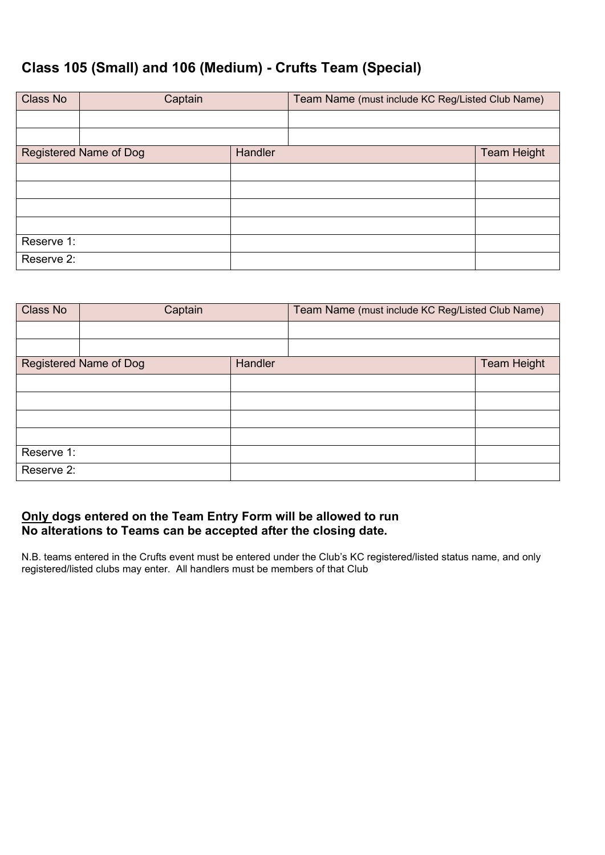# **Class 105 (Small) and 106 (Medium) - Crufts Team (Special)**

| Class No   | Captain                       |         | Team Name (must include KC Reg/Listed Club Name) |                    |
|------------|-------------------------------|---------|--------------------------------------------------|--------------------|
|            |                               |         |                                                  |                    |
|            |                               |         |                                                  |                    |
|            | <b>Registered Name of Dog</b> | Handler |                                                  | <b>Team Height</b> |
|            |                               |         |                                                  |                    |
|            |                               |         |                                                  |                    |
|            |                               |         |                                                  |                    |
|            |                               |         |                                                  |                    |
| Reserve 1: |                               |         |                                                  |                    |
| Reserve 2: |                               |         |                                                  |                    |

| Class No   | Captain                |         | Team Name (must include KC Reg/Listed Club Name) |                    |  |  |
|------------|------------------------|---------|--------------------------------------------------|--------------------|--|--|
|            |                        |         |                                                  |                    |  |  |
|            |                        |         |                                                  |                    |  |  |
|            | Registered Name of Dog | Handler |                                                  | <b>Team Height</b> |  |  |
|            |                        |         |                                                  |                    |  |  |
|            |                        |         |                                                  |                    |  |  |
|            |                        |         |                                                  |                    |  |  |
|            |                        |         |                                                  |                    |  |  |
| Reserve 1: |                        |         |                                                  |                    |  |  |
| Reserve 2: |                        |         |                                                  |                    |  |  |

### **Only dogs entered on the Team Entry Form will be allowed to run No alterations to Teams can be accepted after the closing date.**

N.B. teams entered in the Crufts event must be entered under the Club's KC registered/listed status name, and only registered/listed clubs may enter. All handlers must be members of that Club